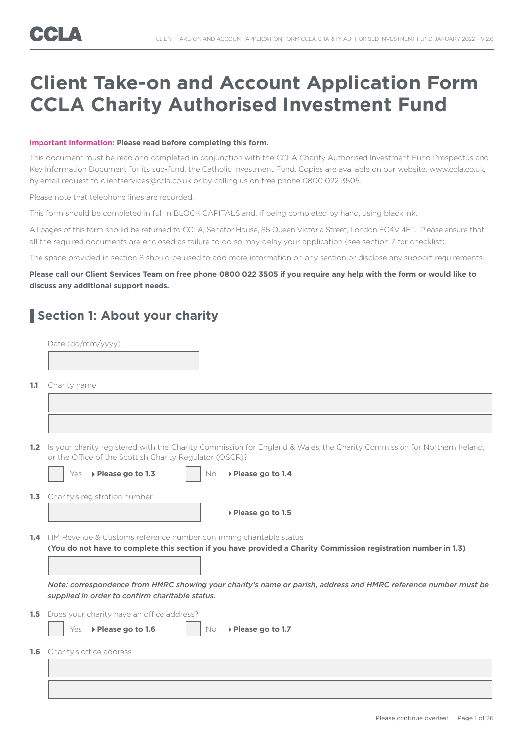## **Client Take-on and Account Application Form CCLA Charity Authorised Investment Fund**

#### **Important information: Please read before completing this form.**

This document must be read and completed in conjunction with the CCLA Charity Authorised Investment Fund Prospectus and Key Information Document for its sub-fund, the Catholic Investment Fund. Copies are available on our website, www.ccla.co.uk, by email request to clientservices@ccla.co.uk or by calling us on free phone 0800 022 3505.

Please note that telephone lines are recorded.

This form should be completed in full in BLOCK CAPITALS and, if being completed by hand, using black ink.

All pages of this form should be returned to CCLA, Senator House, 85 Queen Victoria Street, London EC4V 4ET. Please ensure that all the required documents are enclosed as failure to do so may delay your application (see section 7 for checklist).

The space provided in section 8 should be used to add more information on any section or disclose any support requirements.

**Please call our Client Services Team on free phone 0800 022 3505 if you require any help with the form or would like to discuss any additional support needs.** 

### **Section 1: About your charity**

|                  | Date (dd/mm/yyyy)                                                                                                                                                                         |
|------------------|-------------------------------------------------------------------------------------------------------------------------------------------------------------------------------------------|
|                  |                                                                                                                                                                                           |
| 1.1              | Charity name                                                                                                                                                                              |
|                  |                                                                                                                                                                                           |
|                  |                                                                                                                                                                                           |
| 1.2 <sub>1</sub> | Is your charity registered with the Charity Commission for England & Wales, the Charity Commission for Northern Ireland,<br>or the Office of the Scottish Charity Regulator (OSCR)?       |
|                  | ▶ Please go to 1.3<br>▶ Please go to 1.4<br>Yes<br>No                                                                                                                                     |
| 1.3              | Charity's registration number                                                                                                                                                             |
|                  | ▶ Please go to 1.5                                                                                                                                                                        |
|                  | 1.4 HM Revenue & Customs reference number confirming charitable status<br>(You do not have to complete this section if you have provided a Charity Commission registration number in 1.3) |
|                  | Note: correspondence from HMRC showing your charity's name or parish, address and HMRC reference number must be<br>supplied in order to confirm charitable status.                        |
| 1.5              | Does your charity have an office address?                                                                                                                                                 |
|                  | ▶ Please go to 1.6<br>▶ Please go to 1.7<br>Yes<br><b>No</b>                                                                                                                              |
| 1.6              | Charity's office address                                                                                                                                                                  |
|                  |                                                                                                                                                                                           |
|                  |                                                                                                                                                                                           |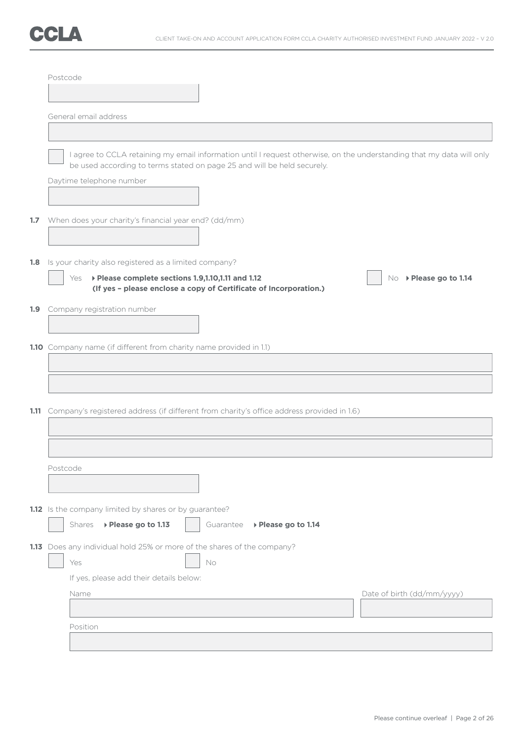

|     | Postcode                                                                                                                                                                                         |                     |                            |
|-----|--------------------------------------------------------------------------------------------------------------------------------------------------------------------------------------------------|---------------------|----------------------------|
|     |                                                                                                                                                                                                  |                     |                            |
|     |                                                                                                                                                                                                  |                     |                            |
|     | General email address                                                                                                                                                                            |                     |                            |
|     |                                                                                                                                                                                                  |                     |                            |
|     | I agree to CCLA retaining my email information until I request otherwise, on the understanding that my data will only<br>be used according to terms stated on page 25 and will be held securely. |                     |                            |
|     | Daytime telephone number                                                                                                                                                                         |                     |                            |
|     |                                                                                                                                                                                                  |                     |                            |
| 1.7 | When does your charity's financial year end? (dd/mm)                                                                                                                                             |                     |                            |
| 1.8 | Is your charity also registered as a limited company?                                                                                                                                            |                     |                            |
|     | ▶ Please complete sections 1.9,1.10,1.11 and 1.12<br>Yes                                                                                                                                         |                     | No ▶ Please go to 1.14     |
|     | (If yes - please enclose a copy of Certificate of Incorporation.)                                                                                                                                |                     |                            |
|     | 1.9 Company registration number                                                                                                                                                                  |                     |                            |
|     |                                                                                                                                                                                                  |                     |                            |
|     | 1.10 Company name (if different from charity name provided in 1.1)                                                                                                                               |                     |                            |
|     |                                                                                                                                                                                                  |                     |                            |
|     |                                                                                                                                                                                                  |                     |                            |
|     |                                                                                                                                                                                                  |                     |                            |
|     | 1.11 Company's registered address (if different from charity's office address provided in 1.6)                                                                                                   |                     |                            |
|     |                                                                                                                                                                                                  |                     |                            |
|     |                                                                                                                                                                                                  |                     |                            |
|     | Postcode                                                                                                                                                                                         |                     |                            |
|     |                                                                                                                                                                                                  |                     |                            |
|     |                                                                                                                                                                                                  |                     |                            |
|     | 1.12 Is the company limited by shares or by guarantee?                                                                                                                                           |                     |                            |
|     | Shares<br>▶ Please go to 1.13<br>Guarantee                                                                                                                                                       | ▶ Please go to 1.14 |                            |
|     | 1.13 Does any individual hold 25% or more of the shares of the company?                                                                                                                          |                     |                            |
|     | Yes<br>No                                                                                                                                                                                        |                     |                            |
|     | If yes, please add their details below:                                                                                                                                                          |                     |                            |
|     | Name                                                                                                                                                                                             |                     | Date of birth (dd/mm/yyyy) |
|     |                                                                                                                                                                                                  |                     |                            |
|     | Position                                                                                                                                                                                         |                     |                            |
|     |                                                                                                                                                                                                  |                     |                            |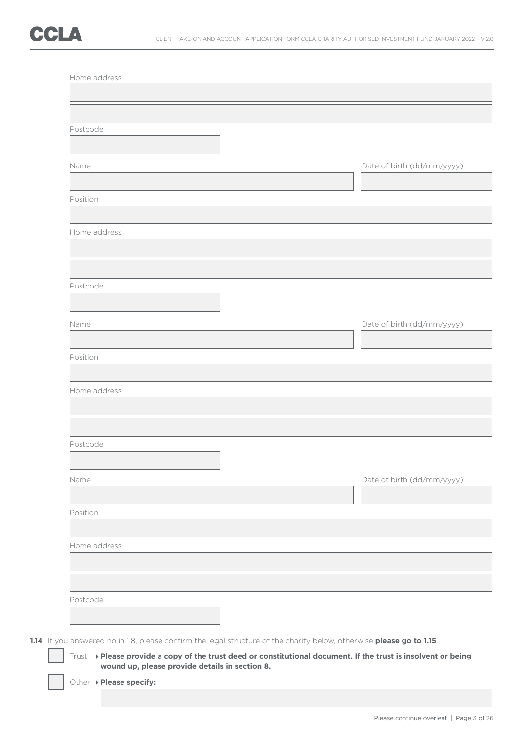| Postcode     |                                                                                                                                                                                                                                         |
|--------------|-----------------------------------------------------------------------------------------------------------------------------------------------------------------------------------------------------------------------------------------|
|              |                                                                                                                                                                                                                                         |
| Name         | Date of birth (dd/mm/yyyy)                                                                                                                                                                                                              |
| Position     |                                                                                                                                                                                                                                         |
|              |                                                                                                                                                                                                                                         |
| Home address |                                                                                                                                                                                                                                         |
|              |                                                                                                                                                                                                                                         |
| Postcode     |                                                                                                                                                                                                                                         |
|              |                                                                                                                                                                                                                                         |
| Name         | Date of birth (dd/mm/yyyy)                                                                                                                                                                                                              |
| Position     |                                                                                                                                                                                                                                         |
|              |                                                                                                                                                                                                                                         |
| Home address |                                                                                                                                                                                                                                         |
|              |                                                                                                                                                                                                                                         |
| Postcode     |                                                                                                                                                                                                                                         |
| Name         | Date of birth (dd/mm/yyyy)                                                                                                                                                                                                              |
|              |                                                                                                                                                                                                                                         |
| Position     |                                                                                                                                                                                                                                         |
| Home address |                                                                                                                                                                                                                                         |
|              |                                                                                                                                                                                                                                         |
|              |                                                                                                                                                                                                                                         |
| Postcode     |                                                                                                                                                                                                                                         |
|              |                                                                                                                                                                                                                                         |
|              | 1.14 If you answered no in 1.8, please confirm the legal structure of the charity below, otherwise please go to 1.15.<br>Trust > Please provide a copy of the trust deed or constitutional document. If the trust is insolvent or being |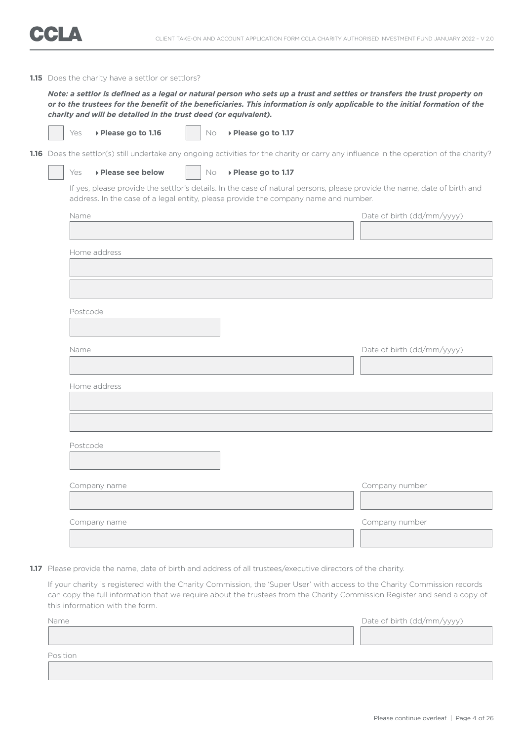#### **1.15** Does the charity have a settlor or settlors?

 *Note: a settlor is defined as a legal or natural person who sets up a trust and settles or transfers the trust property on or to the trustees for the benefit of the beneficiaries. This information is only applicable to the initial formation of the charity and will be detailed in the trust deed (or equivalent).*

|  | Ple |
|--|-----|
|  |     |

**Pase go to 1.16**  $\qquad$  No **Please go to 1.17** 

1.16 Does the settlor(s) still undertake any ongoing activities for the charity or carry any influence in the operation of the charity?

Yes **Please see below**  $\vert$  No **Please go to 1.17** 

 If yes, please provide the settlor's details. In the case of natural persons, please provide the name, date of birth and address. In the case of a legal entity, please provide the company name and number.

| Name         | Date of birth (dd/mm/yyyy) |
|--------------|----------------------------|
|              |                            |
| Home address |                            |
|              |                            |
|              |                            |
|              |                            |
| Postcode     |                            |
|              |                            |
| Name         | Date of birth (dd/mm/yyyy) |
|              |                            |
|              |                            |
| Home address |                            |
|              |                            |
|              |                            |
| Postcode     |                            |
|              |                            |
|              |                            |
| Company name | Company number             |
|              |                            |
| Company name | Company number             |
|              |                            |

1.17 Please provide the name, date of birth and address of all trustees/executive directors of the charity.

 If your charity is registered with the Charity Commission, the 'Super User' with access to the Charity Commission records can copy the full information that we require about the trustees from the Charity Commission Register and send a copy of this information with the form.

| Name     | Date of birth (dd/mm/yyyy) |
|----------|----------------------------|
|          |                            |
|          |                            |
| Position |                            |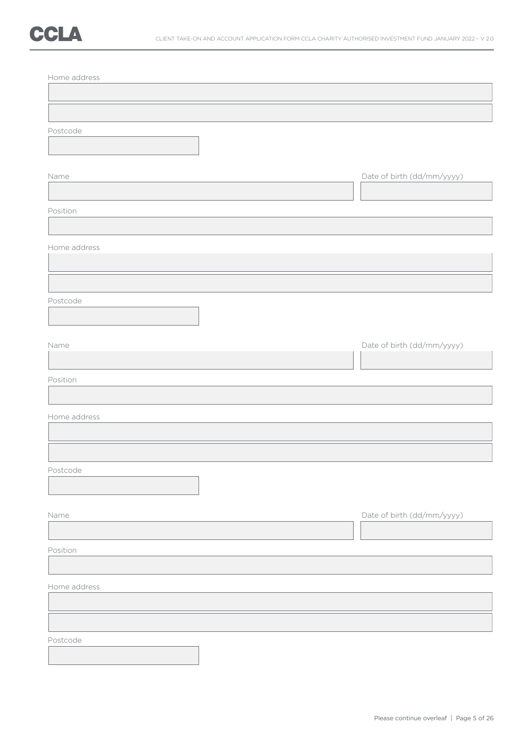| Home address |                            |
|--------------|----------------------------|
|              |                            |
|              |                            |
| Postcode     |                            |
|              |                            |
| Name         | Date of birth (dd/mm/yyyy) |
|              |                            |
| Position     |                            |
|              |                            |
| Home address |                            |
|              |                            |
|              |                            |
| Postcode     |                            |
|              |                            |
|              |                            |
| Name         | Date of birth (dd/mm/yyyy) |
|              |                            |
| Position     |                            |
|              |                            |
| Home address |                            |
|              |                            |
|              |                            |
| Postcode     |                            |
|              |                            |
| Name         | Date of birth (dd/mm/yyyy) |
|              |                            |
| Position     |                            |
|              |                            |
| Home address |                            |
|              |                            |
|              |                            |
| Postcode     |                            |
|              |                            |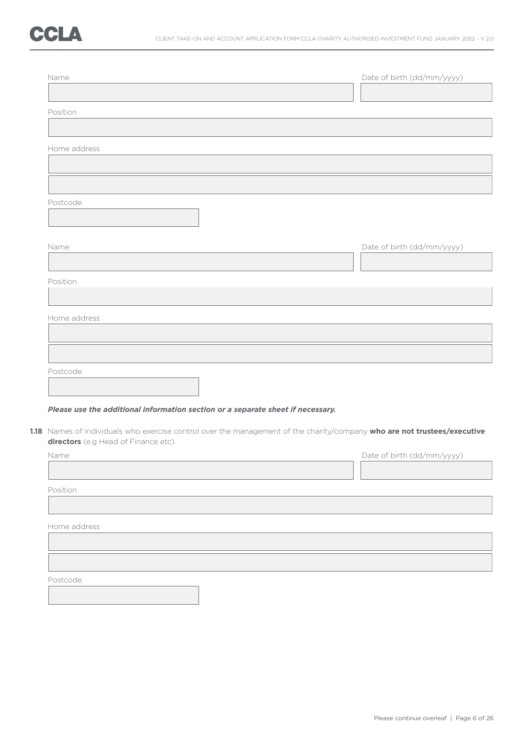| Name                                 |                                                                                                                          | Date of birth (dd/mm/yyyy) |
|--------------------------------------|--------------------------------------------------------------------------------------------------------------------------|----------------------------|
| Position                             |                                                                                                                          |                            |
| Home address                         |                                                                                                                          |                            |
|                                      |                                                                                                                          |                            |
| Postcode                             |                                                                                                                          |                            |
| Name                                 |                                                                                                                          | Date of birth (dd/mm/yyyy) |
| Position                             |                                                                                                                          |                            |
| Home address                         |                                                                                                                          |                            |
|                                      |                                                                                                                          |                            |
| Postcode                             |                                                                                                                          |                            |
|                                      | Please use the additional information section or a separate sheet if necessary.                                          |                            |
| directors (e.g Head of Finance etc). | 1.18 Names of individuals who exercise control over the management of the charity/company who are not trustees/executive |                            |
| Name                                 |                                                                                                                          | Date of birth (dd/mm/yyyy) |
| Position                             |                                                                                                                          |                            |

Home address

Postcode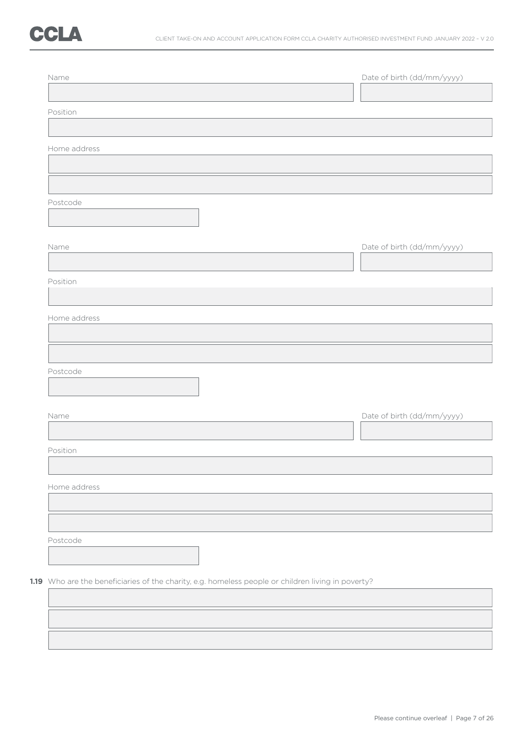

| Name         |  | Date of birth (dd/mm/yyyy) |
|--------------|--|----------------------------|
| Position     |  |                            |
|              |  |                            |
| Home address |  |                            |
|              |  |                            |
| Postcode     |  |                            |
|              |  |                            |
| Name         |  | Date of birth (dd/mm/yyyy) |
|              |  |                            |
| Position     |  |                            |
|              |  |                            |
| Home address |  |                            |
|              |  |                            |
| Postcode     |  |                            |
|              |  |                            |
| Name         |  | Date of birth (dd/mm/yyyy) |
|              |  |                            |
| Position     |  |                            |
|              |  |                            |
| Home address |  |                            |
|              |  |                            |
| Postcode     |  |                            |
|              |  |                            |
|              |  |                            |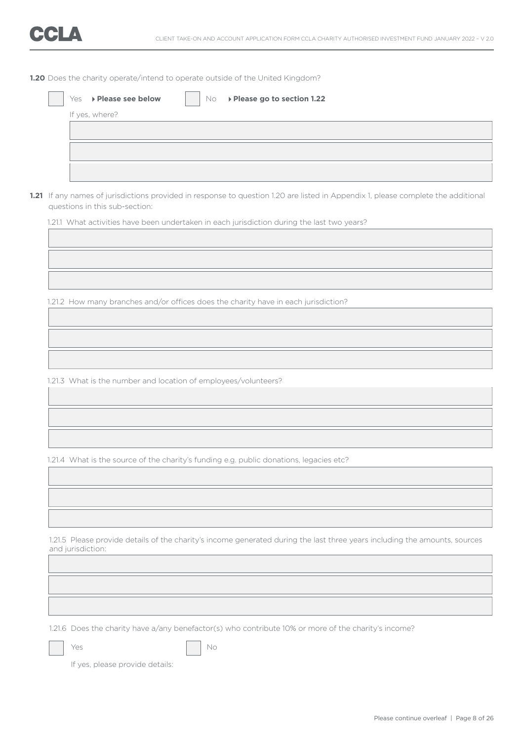**1.20** Does the charity operate/intend to operate outside of the United Kingdom?

|  | 1.21 If any names of jurisdictions provided in response to question 1.20 are listed in Appendix 1, please complete the additional<br>questions in this sub-section: |
|--|---------------------------------------------------------------------------------------------------------------------------------------------------------------------|
|  | 1.21.1 What activities have been undertaken in each jurisdiction during the last two years?                                                                         |
|  |                                                                                                                                                                     |
|  |                                                                                                                                                                     |
|  |                                                                                                                                                                     |
|  |                                                                                                                                                                     |
|  | 1.21.2 How many branches and/or offices does the charity have in each jurisdiction?                                                                                 |
|  |                                                                                                                                                                     |
|  |                                                                                                                                                                     |
|  |                                                                                                                                                                     |
|  |                                                                                                                                                                     |
|  | 1.21.3 What is the number and location of employees/volunteers?                                                                                                     |
|  |                                                                                                                                                                     |
|  |                                                                                                                                                                     |
|  |                                                                                                                                                                     |
|  |                                                                                                                                                                     |
|  | 1.21.4 What is the source of the charity's funding e.g. public donations, legacies etc?                                                                             |
|  |                                                                                                                                                                     |
|  |                                                                                                                                                                     |
|  |                                                                                                                                                                     |
|  |                                                                                                                                                                     |
|  | 1.21.5 Please provide details of the charity's income generated during the last three years including the amounts, sources<br>and jurisdiction:                     |
|  |                                                                                                                                                                     |
|  |                                                                                                                                                                     |
|  |                                                                                                                                                                     |
|  |                                                                                                                                                                     |
|  | 1.21.6 Does the charity have a/any benefactor(s) who contribute 10% or more of the charity's income?                                                                |
|  |                                                                                                                                                                     |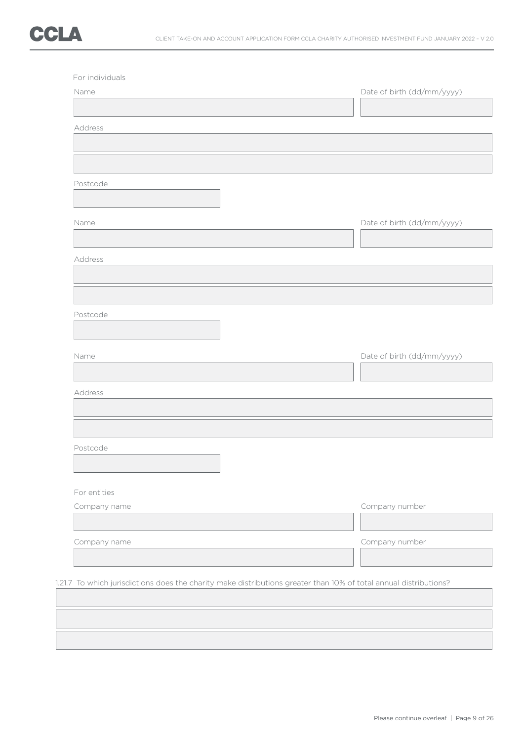

| Address      |                            |
|--------------|----------------------------|
|              |                            |
|              |                            |
| Postcode     |                            |
|              |                            |
|              |                            |
| Name         | Date of birth (dd/mm/yyyy) |
|              |                            |
| Address      |                            |
|              |                            |
|              |                            |
|              |                            |
| Postcode     |                            |
|              |                            |
| Name         | Date of birth (dd/mm/yyyy) |
|              |                            |
|              |                            |
| Address      |                            |
|              |                            |
|              |                            |
| Postcode     |                            |
|              |                            |
|              |                            |
| For entities |                            |
| Company name | Company number             |
|              |                            |
| Company name | Company number             |
|              |                            |
|              |                            |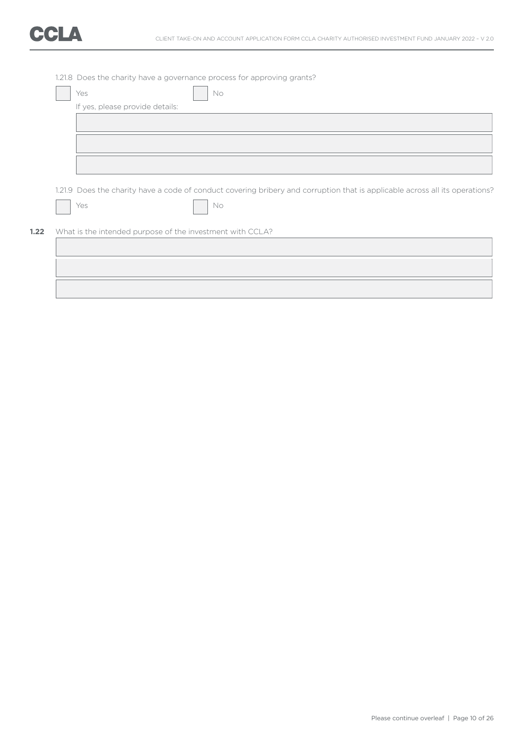

| Yes                             | No                                                                                                                           |  |
|---------------------------------|------------------------------------------------------------------------------------------------------------------------------|--|
| If yes, please provide details: |                                                                                                                              |  |
|                                 |                                                                                                                              |  |
|                                 |                                                                                                                              |  |
|                                 |                                                                                                                              |  |
|                                 |                                                                                                                              |  |
|                                 |                                                                                                                              |  |
|                                 |                                                                                                                              |  |
|                                 |                                                                                                                              |  |
|                                 |                                                                                                                              |  |
|                                 | 1.21.9 Does the charity have a code of conduct covering bribery and corruption that is applicable across all its operations? |  |
| Yes                             | No                                                                                                                           |  |
|                                 |                                                                                                                              |  |
|                                 |                                                                                                                              |  |
|                                 | What is the intended purpose of the investment with CCLA?                                                                    |  |
|                                 |                                                                                                                              |  |
|                                 |                                                                                                                              |  |
|                                 |                                                                                                                              |  |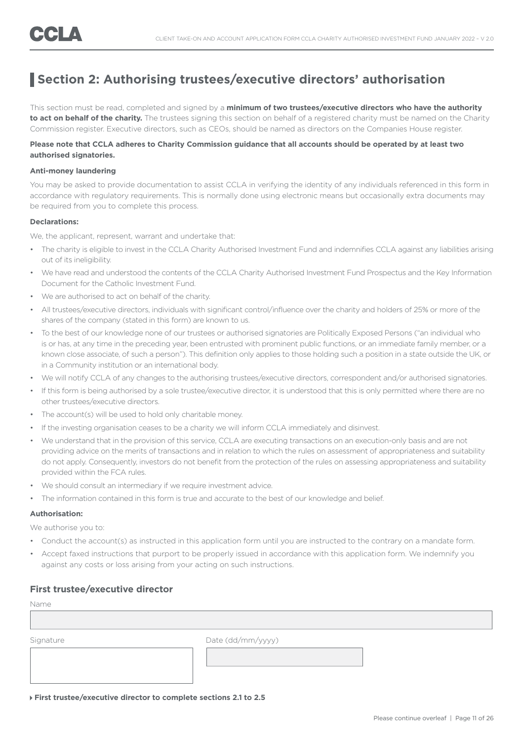### **Section 2: Authorising trustees/executive directors' authorisation**

This section must be read, completed and signed by a **minimum of two trustees/executive directors who have the authority**  to act on behalf of the charity. The trustees signing this section on behalf of a registered charity must be named on the Charity Commission register. Executive directors, such as CEOs, should be named as directors on the Companies House register.

### **Please note that CCLA adheres to Charity Commission guidance that all accounts should be operated by at least two authorised signatories.**

### **Anti-money laundering**

You may be asked to provide documentation to assist CCLA in verifying the identity of any individuals referenced in this form in accordance with regulatory requirements. This is normally done using electronic means but occasionally extra documents may be required from you to complete this process.

#### **Declarations:**

We, the applicant, represent, warrant and undertake that:

- The charity is eligible to invest in the CCLA Charity Authorised Investment Fund and indemnifies CCLA against any liabilities arising out of its ineligibility.
- We have read and understood the contents of the CCLA Charity Authorised Investment Fund Prospectus and the Key Information Document for the Catholic Investment Fund.
- We are authorised to act on behalf of the charity.
- All trustees/executive directors, individuals with significant control/influence over the charity and holders of 25% or more of the shares of the company (stated in this form) are known to us.
- To the best of our knowledge none of our trustees or authorised signatories are Politically Exposed Persons ("an individual who is or has, at any time in the preceding year, been entrusted with prominent public functions, or an immediate family member, or a known close associate, of such a person"). This definition only applies to those holding such a position in a state outside the UK, or in a Community institution or an international body.
- We will notify CCLA of any changes to the authorising trustees/executive directors, correspondent and/or authorised signatories.
- If this form is being authorised by a sole trustee/executive director, it is understood that this is only permitted where there are no other trustees/executive directors.
- The account(s) will be used to hold only charitable money.
- If the investing organisation ceases to be a charity we will inform CCLA immediately and disinvest.
- We understand that in the provision of this service, CCLA are executing transactions on an execution-only basis and are not providing advice on the merits of transactions and in relation to which the rules on assessment of appropriateness and suitability do not apply. Consequently, investors do not benefit from the protection of the rules on assessing appropriateness and suitability provided within the FCA rules.
- We should consult an intermediary if we require investment advice.
- The information contained in this form is true and accurate to the best of our knowledge and belief.

### **Authorisation:**

We authorise you to:

- Conduct the account(s) as instructed in this application form until you are instructed to the contrary on a mandate form.
- Accept faxed instructions that purport to be properly issued in accordance with this application form. We indemnify you against any costs or loss arising from your acting on such instructions.

### **First trustee/executive director**

| I |  |
|---|--|
|   |  |

Signature Date (dd/mm/yyyy)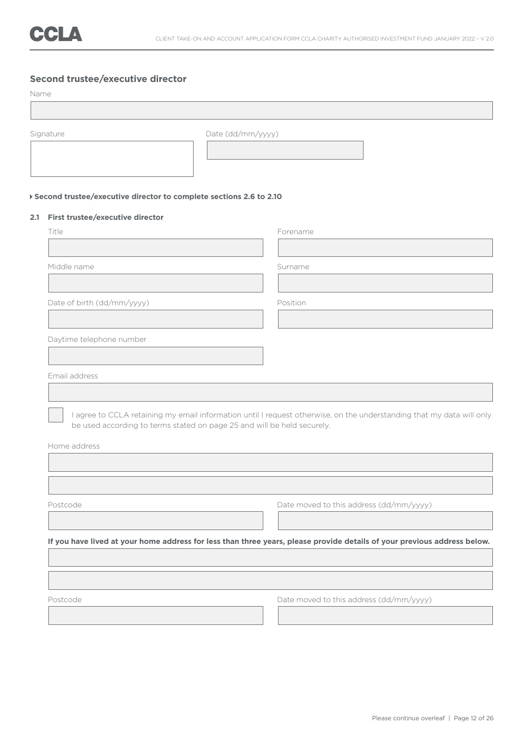### **Second trustee/executive director**

Name

| Signature                                                            | Date (dd/mm/yyyy)                                                                                                        |
|----------------------------------------------------------------------|--------------------------------------------------------------------------------------------------------------------------|
|                                                                      |                                                                                                                          |
|                                                                      |                                                                                                                          |
|                                                                      |                                                                                                                          |
| ▶ Second trustee/executive director to complete sections 2.6 to 2.10 |                                                                                                                          |
| 2.1 First trustee/executive director                                 |                                                                                                                          |
| Title                                                                | Forename                                                                                                                 |
|                                                                      |                                                                                                                          |
| Middle name                                                          | Surname                                                                                                                  |
|                                                                      |                                                                                                                          |
| Date of birth (dd/mm/yyyy)                                           | Position                                                                                                                 |
|                                                                      |                                                                                                                          |
|                                                                      |                                                                                                                          |
| Daytime telephone number                                             |                                                                                                                          |
|                                                                      |                                                                                                                          |
|                                                                      |                                                                                                                          |
| Email address                                                        |                                                                                                                          |
|                                                                      |                                                                                                                          |
|                                                                      |                                                                                                                          |
|                                                                      | I agree to CCLA retaining my email information until I request otherwise, on the understanding that my data will only    |
|                                                                      | be used according to terms stated on page 25 and will be held securely.                                                  |
| Home address                                                         |                                                                                                                          |
|                                                                      |                                                                                                                          |
|                                                                      |                                                                                                                          |
| Postcode                                                             |                                                                                                                          |
|                                                                      | Date moved to this address (dd/mm/yyyy)                                                                                  |
|                                                                      |                                                                                                                          |
|                                                                      | If you have lived at your home address for less than three years, please provide details of your previous address below. |
|                                                                      |                                                                                                                          |
|                                                                      |                                                                                                                          |
|                                                                      |                                                                                                                          |
| Postcode                                                             | Date moved to this address (dd/mm/yyyy)                                                                                  |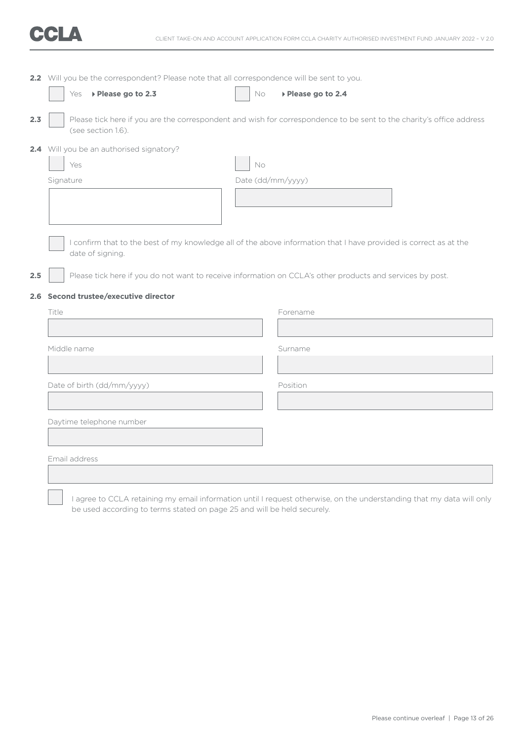

|     | 2.2 Will you be the correspondent? Please note that all correspondence will be sent to you. |                   |                                                                                                                      |  |  |  |  |
|-----|---------------------------------------------------------------------------------------------|-------------------|----------------------------------------------------------------------------------------------------------------------|--|--|--|--|
|     | ▶ Please go to 2.3<br>Yes                                                                   | $\rm No$          | ▶ Please go to 2.4                                                                                                   |  |  |  |  |
| 2.3 | (see section 1.6).                                                                          |                   | Please tick here if you are the correspondent and wish for correspondence to be sent to the charity's office address |  |  |  |  |
|     | 2.4 Will you be an authorised signatory?                                                    |                   |                                                                                                                      |  |  |  |  |
|     | Yes                                                                                         | No                |                                                                                                                      |  |  |  |  |
|     | Signature                                                                                   | Date (dd/mm/yyyy) |                                                                                                                      |  |  |  |  |
|     |                                                                                             |                   |                                                                                                                      |  |  |  |  |
|     |                                                                                             |                   |                                                                                                                      |  |  |  |  |
|     |                                                                                             |                   |                                                                                                                      |  |  |  |  |
|     | date of signing.                                                                            |                   | I confirm that to the best of my knowledge all of the above information that I have provided is correct as at the    |  |  |  |  |
|     |                                                                                             |                   |                                                                                                                      |  |  |  |  |
| 2.5 |                                                                                             |                   | Please tick here if you do not want to receive information on CCLA's other products and services by post.            |  |  |  |  |
|     | 2.6 Second trustee/executive director                                                       |                   |                                                                                                                      |  |  |  |  |
|     | Title                                                                                       |                   | Forename                                                                                                             |  |  |  |  |
|     |                                                                                             |                   |                                                                                                                      |  |  |  |  |
|     | Middle name                                                                                 |                   | Surname                                                                                                              |  |  |  |  |
|     |                                                                                             |                   |                                                                                                                      |  |  |  |  |
|     |                                                                                             |                   | Position                                                                                                             |  |  |  |  |
|     | Date of birth (dd/mm/yyyy)                                                                  |                   |                                                                                                                      |  |  |  |  |
|     |                                                                                             |                   |                                                                                                                      |  |  |  |  |
|     | Daytime telephone number                                                                    |                   |                                                                                                                      |  |  |  |  |
|     |                                                                                             |                   |                                                                                                                      |  |  |  |  |
|     | Email address                                                                               |                   |                                                                                                                      |  |  |  |  |
|     |                                                                                             |                   |                                                                                                                      |  |  |  |  |
|     |                                                                                             |                   |                                                                                                                      |  |  |  |  |

 I agree to CCLA retaining my email information until I request otherwise, on the understanding that my data will only be used according to terms stated on page 25 and will be held securely.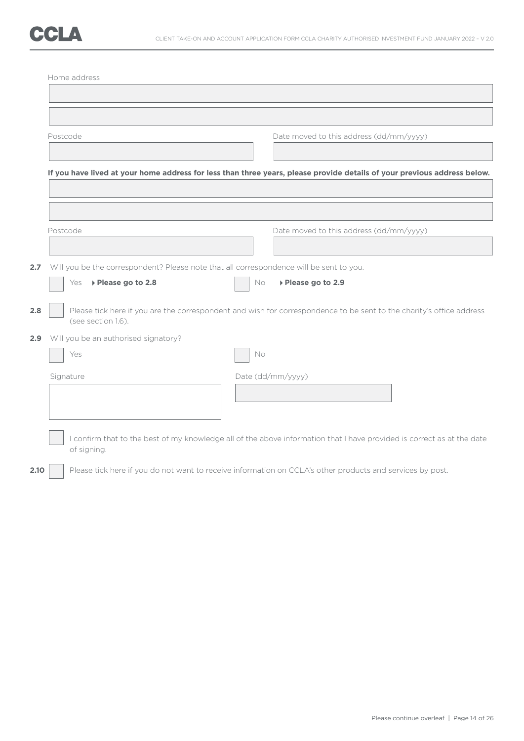|                  | Home address                                                                            |                                                                                                                          |
|------------------|-----------------------------------------------------------------------------------------|--------------------------------------------------------------------------------------------------------------------------|
|                  |                                                                                         |                                                                                                                          |
|                  |                                                                                         |                                                                                                                          |
|                  | Postcode                                                                                | Date moved to this address (dd/mm/yyyy)                                                                                  |
|                  |                                                                                         |                                                                                                                          |
|                  |                                                                                         | If you have lived at your home address for less than three years, please provide details of your previous address below. |
|                  |                                                                                         |                                                                                                                          |
|                  |                                                                                         |                                                                                                                          |
|                  | Postcode                                                                                | Date moved to this address (dd/mm/yyyy)                                                                                  |
|                  |                                                                                         |                                                                                                                          |
| 2.7 <sub>2</sub> | Will you be the correspondent? Please note that all correspondence will be sent to you. |                                                                                                                          |
|                  | ▶ Please go to 2.8<br>Yes                                                               | ▶ Please go to 2.9<br>No                                                                                                 |
| 2.8              | (see section 1.6).                                                                      | Please tick here if you are the correspondent and wish for correspondence to be sent to the charity's office address     |
| $2.9^{\circ}$    | Will you be an authorised signatory?                                                    |                                                                                                                          |
|                  | Yes                                                                                     | No                                                                                                                       |
|                  | Signature                                                                               | Date (dd/mm/yyyy)                                                                                                        |
|                  |                                                                                         |                                                                                                                          |
|                  |                                                                                         |                                                                                                                          |
|                  | of signing.                                                                             | I confirm that to the best of my knowledge all of the above information that I have provided is correct as at the date   |
| 2.10             |                                                                                         | Please tick here if you do not want to receive information on CCLA's other products and services by post.                |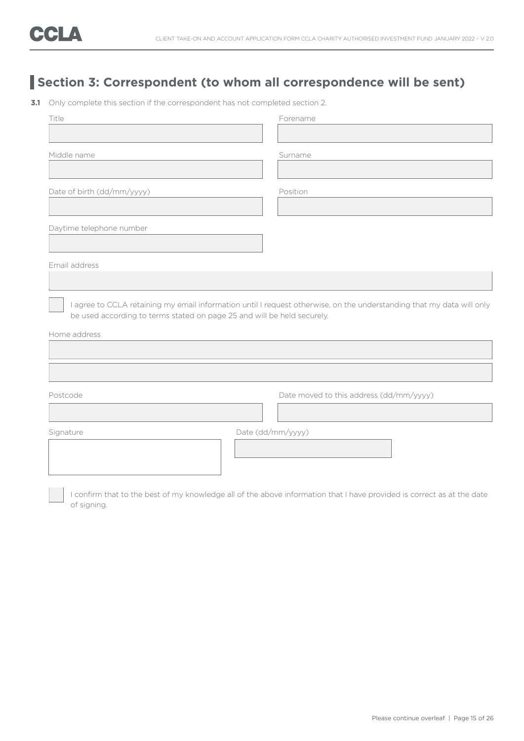### **Section 3: Correspondent (to whom all correspondence will be sent)**

**3.1** Only complete this section if the correspondent has not completed section 2.

| Title                      |                                                                         | Forename                                                                                                                                   |
|----------------------------|-------------------------------------------------------------------------|--------------------------------------------------------------------------------------------------------------------------------------------|
|                            |                                                                         |                                                                                                                                            |
| Middle name                |                                                                         | Surname                                                                                                                                    |
|                            |                                                                         |                                                                                                                                            |
| Date of birth (dd/mm/yyyy) |                                                                         | Position                                                                                                                                   |
|                            |                                                                         |                                                                                                                                            |
| Daytime telephone number   |                                                                         |                                                                                                                                            |
|                            |                                                                         |                                                                                                                                            |
| Email address              |                                                                         |                                                                                                                                            |
|                            |                                                                         |                                                                                                                                            |
|                            |                                                                         |                                                                                                                                            |
|                            | be used according to terms stated on page 25 and will be held securely. |                                                                                                                                            |
|                            |                                                                         |                                                                                                                                            |
| Home address<br>Postcode   |                                                                         | Date moved to this address (dd/mm/yyyy)                                                                                                    |
|                            |                                                                         |                                                                                                                                            |
| Signature                  |                                                                         | I agree to CCLA retaining my email information until I request otherwise, on the understanding that my data will only<br>Date (dd/mm/yyyy) |
|                            |                                                                         |                                                                                                                                            |
|                            |                                                                         |                                                                                                                                            |

I confirm that to the best of my knowledge all of the above information that I have provided is correct as at the date of signing.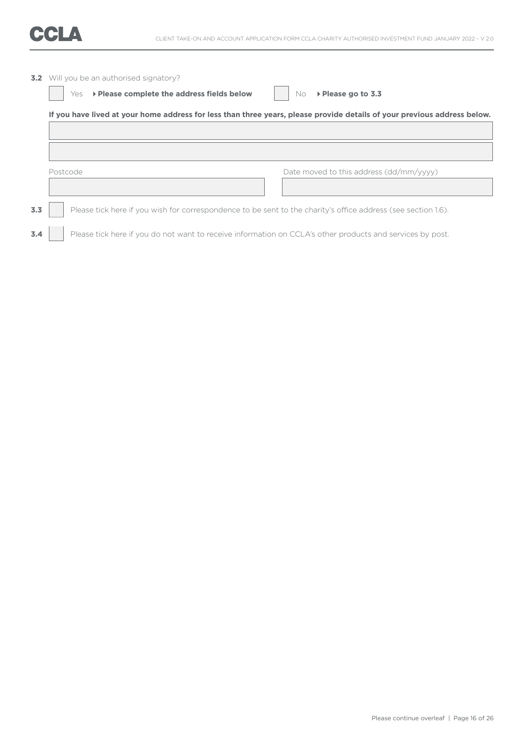**3.2** Will you be an authorised signatory? Yes **Please complete the address fields below** No **Please go to 3.3 If you have lived at your home address for less than three years, please provide details of your previous address below.** Postcode Date moved to this address (dd/mm/yyyy) **3.3** Please tick here if you wish for correspondence to be sent to the charity's office address (see section 1.6). **3.4** Please tick here if you do not want to receive information on CCLA's other products and services by post.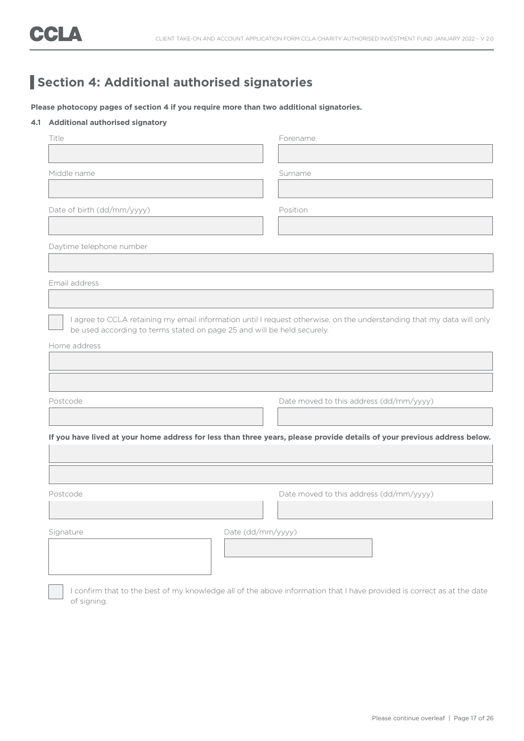### **Section 4: Additional authorised signatories**

**Please photocopy pages of section 4 if you require more than two additional signatories.**

### **4.1 Additional authorised signatory**

| Title                      |                                                                         | Forename                                                                                                                 |
|----------------------------|-------------------------------------------------------------------------|--------------------------------------------------------------------------------------------------------------------------|
|                            |                                                                         |                                                                                                                          |
| Middle name                |                                                                         | Surname                                                                                                                  |
|                            |                                                                         |                                                                                                                          |
| Date of birth (dd/mm/yyyy) |                                                                         | Position                                                                                                                 |
|                            |                                                                         |                                                                                                                          |
| Daytime telephone number   |                                                                         |                                                                                                                          |
|                            |                                                                         |                                                                                                                          |
| Email address              |                                                                         |                                                                                                                          |
|                            |                                                                         |                                                                                                                          |
|                            | be used according to terms stated on page 25 and will be held securely. | I agree to CCLA retaining my email information until I request otherwise, on the understanding that my data will only    |
| Home address               |                                                                         |                                                                                                                          |
|                            |                                                                         |                                                                                                                          |
|                            |                                                                         |                                                                                                                          |
|                            |                                                                         |                                                                                                                          |
| Postcode                   |                                                                         | Date moved to this address (dd/mm/yyyy)                                                                                  |
|                            |                                                                         |                                                                                                                          |
|                            |                                                                         | If you have lived at your home address for less than three years, please provide details of your previous address below. |
|                            |                                                                         |                                                                                                                          |
|                            |                                                                         |                                                                                                                          |
| Postcode                   |                                                                         | Date moved to this address (dd/mm/yyyy)                                                                                  |
|                            |                                                                         |                                                                                                                          |
|                            |                                                                         |                                                                                                                          |
| Signature                  |                                                                         |                                                                                                                          |
|                            |                                                                         | Date (dd/mm/yyyy)                                                                                                        |
|                            |                                                                         |                                                                                                                          |
|                            |                                                                         |                                                                                                                          |

I confirm that to the best of my knowledge all of the above information that I have provided is correct as at the date of signing.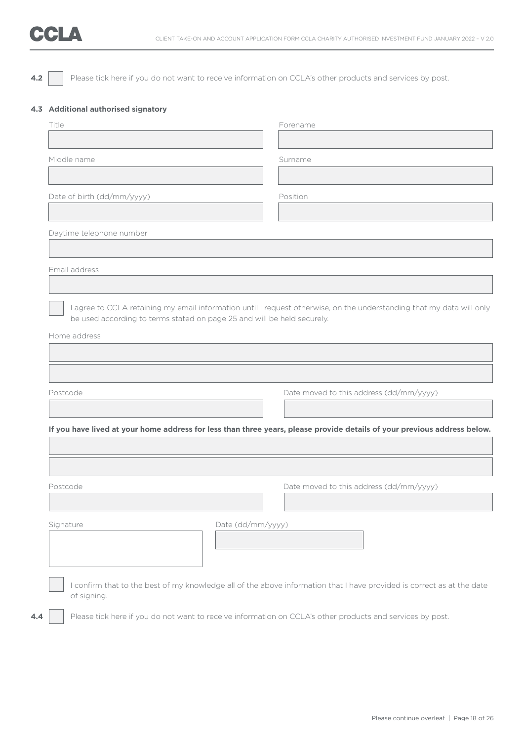# CCLA

**4.2** Please tick here if you do not want to receive information on CCLA's other products and services by post.

### **4.3 Additional authorised signatory**

| Title                      |                                                                         | Forename                                                                                                                 |
|----------------------------|-------------------------------------------------------------------------|--------------------------------------------------------------------------------------------------------------------------|
|                            |                                                                         |                                                                                                                          |
| Middle name                |                                                                         | Surname                                                                                                                  |
|                            |                                                                         |                                                                                                                          |
| Date of birth (dd/mm/yyyy) |                                                                         | Position                                                                                                                 |
|                            |                                                                         |                                                                                                                          |
| Daytime telephone number   |                                                                         |                                                                                                                          |
|                            |                                                                         |                                                                                                                          |
| Email address              |                                                                         |                                                                                                                          |
|                            |                                                                         |                                                                                                                          |
|                            | be used according to terms stated on page 25 and will be held securely. | I agree to CCLA retaining my email information until I request otherwise, on the understanding that my data will only    |
| Home address               |                                                                         |                                                                                                                          |
|                            |                                                                         |                                                                                                                          |
|                            |                                                                         |                                                                                                                          |
|                            |                                                                         |                                                                                                                          |
|                            |                                                                         |                                                                                                                          |
| Postcode                   |                                                                         | Date moved to this address (dd/mm/yyyy)                                                                                  |
|                            |                                                                         |                                                                                                                          |
|                            |                                                                         | If you have lived at your home address for less than three years, please provide details of your previous address below. |
|                            |                                                                         |                                                                                                                          |
|                            |                                                                         |                                                                                                                          |
|                            |                                                                         | Date moved to this address (dd/mm/yyyy)                                                                                  |
|                            |                                                                         |                                                                                                                          |
|                            | Date (dd/mm/yyyy)                                                       |                                                                                                                          |
| Postcode<br>Signature      |                                                                         |                                                                                                                          |
|                            |                                                                         |                                                                                                                          |
|                            |                                                                         |                                                                                                                          |
| of signing.                |                                                                         | I confirm that to the best of my knowledge all of the above information that I have provided is correct as at the date   |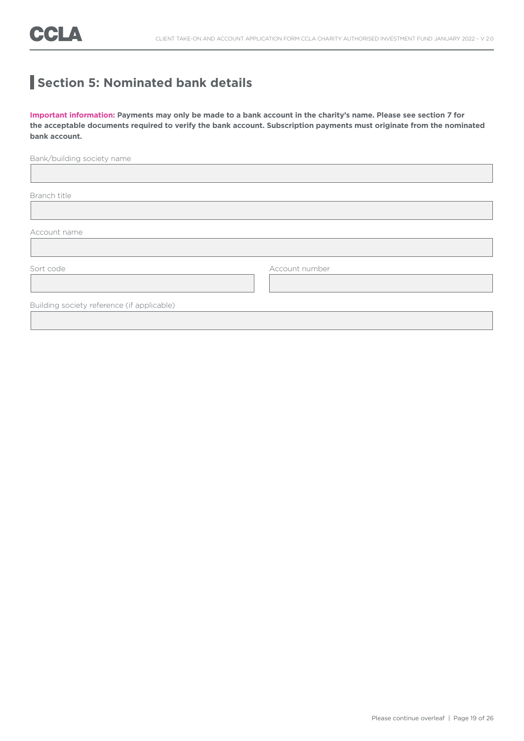### **Section 5: Nominated bank details**

**Important information: Payments may only be made to a bank account in the charity's name. Please see section 7 for the acceptable documents required to verify the bank account. Subscription payments must originate from the nominated bank account.**

| Bank/building society name                 |                |  |
|--------------------------------------------|----------------|--|
|                                            |                |  |
| Branch title                               |                |  |
|                                            |                |  |
| Account name                               |                |  |
|                                            |                |  |
| Sort code                                  | Account number |  |
|                                            |                |  |
| Building society reference (if applicable) |                |  |
|                                            |                |  |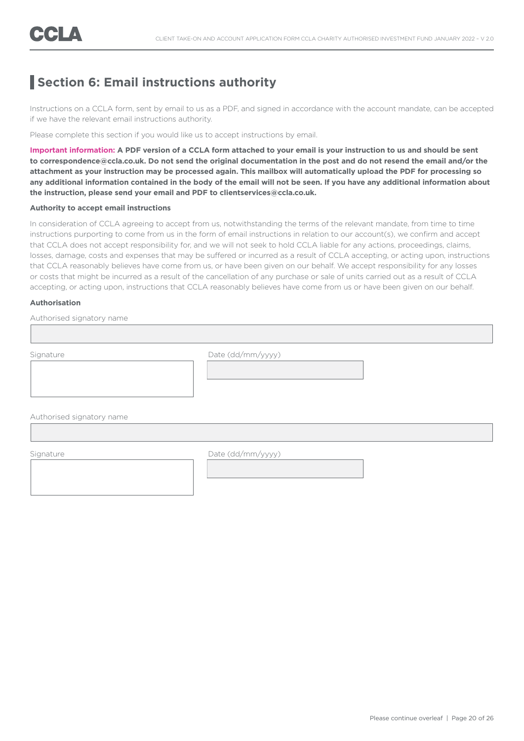### **Section 6: Email instructions authority**

Instructions on a CCLA form, sent by email to us as a PDF, and signed in accordance with the account mandate, can be accepted if we have the relevant email instructions authority.

Please complete this section if you would like us to accept instructions by email.

**Important information: A PDF version of a CCLA form attached to your email is your instruction to us and should be sent to correspondence@ccla.co.uk. Do not send the original documentation in the post and do not resend the email and/or the attachment as your instruction may be processed again. This mailbox will automatically upload the PDF for processing so any additional information contained in the body of the email will not be seen. If you have any additional information about the instruction, please send your email and PDF to clientservices@ccla.co.uk.**

### **Authority to accept email instructions**

In consideration of CCLA agreeing to accept from us, notwithstanding the terms of the relevant mandate, from time to time instructions purporting to come from us in the form of email instructions in relation to our account(s), we confirm and accept that CCLA does not accept responsibility for, and we will not seek to hold CCLA liable for any actions, proceedings, claims, losses, damage, costs and expenses that may be suffered or incurred as a result of CCLA accepting, or acting upon, instructions that CCLA reasonably believes have come from us, or have been given on our behalf. We accept responsibility for any losses or costs that might be incurred as a result of the cancellation of any purchase or sale of units carried out as a result of CCLA accepting, or acting upon, instructions that CCLA reasonably believes have come from us or have been given on our behalf.

### **Authorisation**

Authorised signatory name

I

Signature Date (dd/mm/yyyy)

Authorised signatory name

I

Signature Date (dd/mm/yyyy)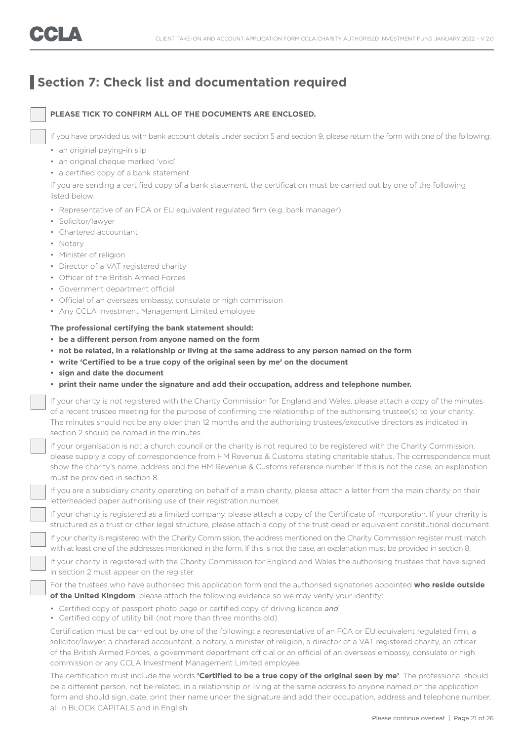### **Section 7: Check list and documentation required**

### **PLEASE TICK TO CONFIRM ALL OF THE DOCUMENTS ARE ENCLOSED.**

If you have provided us with bank account details under section 5 and section 9, please return the form with one of the following:

- an original paying-in slip
- an original cheque marked 'void'
- a certified copy of a bank statement

 If you are sending a certified copy of a bank statement, the certification must be carried out by one of the following listed below:

- Representative of an FCA or EU equivalent regulated firm (e.g. bank manager)
- Solicitor/lawyer
- Chartered accountant
- Notary
- Minister of religion
- Director of a VAT registered charity
- Officer of the British Armed Forces
- Government department official
- Official of an overseas embassy, consulate or high commission
- Any CCLA Investment Management Limited employee

#### **The professional certifying the bank statement should:**

- **• be a different person from anyone named on the form**
- **• not be related, in a relationship or living at the same address to any person named on the form**
- **• write 'Certified to be a true copy of the original seen by me' on the document**
- **• sign and date the document**
- **• print their name under the signature and add their occupation, address and telephone number.**

 If your charity is not registered with the Charity Commission for England and Wales, please attach a copy of the minutes of a recent trustee meeting for the purpose of confirming the relationship of the authorising trustee(s) to your charity. The minutes should not be any older than 12 months and the authorising trustees/executive directors as indicated in section 2 should be named in the minutes.

 If your organisation is not a church council or the charity is not required to be registered with the Charity Commission, please supply a copy of correspondence from HM Revenue & Customs stating charitable status. The correspondence must show the charity's name, address and the HM Revenue & Customs reference number. If this is not the case, an explanation must be provided in section 8.

 If you are a subsidiary charity operating on behalf of a main charity, please attach a letter from the main charity on their letterheaded paper authorising use of their registration number.

 If your charity is registered as a limited company, please attach a copy of the Certificate of Incorporation. If your charity is structured as a trust or other legal structure, please attach a copy of the trust deed or equivalent constitutional document.

 If your charity is registered with the Charity Commission, the address mentioned on the Charity Commission register must match with at least one of the addresses mentioned in the form. If this is not the case, an explanation must be provided in section 8.

 If your charity is registered with the Charity Commission for England and Wales the authorising trustees that have signed in section 2 must appear on the register.

 For the trustees who have authorised this application form and the authorised signatories appointed **who reside outside of the United Kingdom**, please attach the following evidence so we may verify your identity:

- Certified copy of passport photo page or certified copy of driving licence *and*
- Certified copy of utility bill (not more than three months old)

 Certification must be carried out by one of the following: a representative of an FCA or EU equivalent regulated firm, a solicitor/lawyer, a chartered accountant, a notary, a minister of religion, a director of a VAT registered charity, an officer of the British Armed Forces, a government department official or an official of an overseas embassy, consulate or high commission or any CCLA Investment Management Limited employee.

 The certification must include the words **'Certified to be a true copy of the original seen by me'**. The professional should be a different person, not be related, in a relationship or living at the same address to anyone named on the application form and should sign, date, print their name under the signature and add their occupation, address and telephone number, all in BLOCK CAPITALS and in English.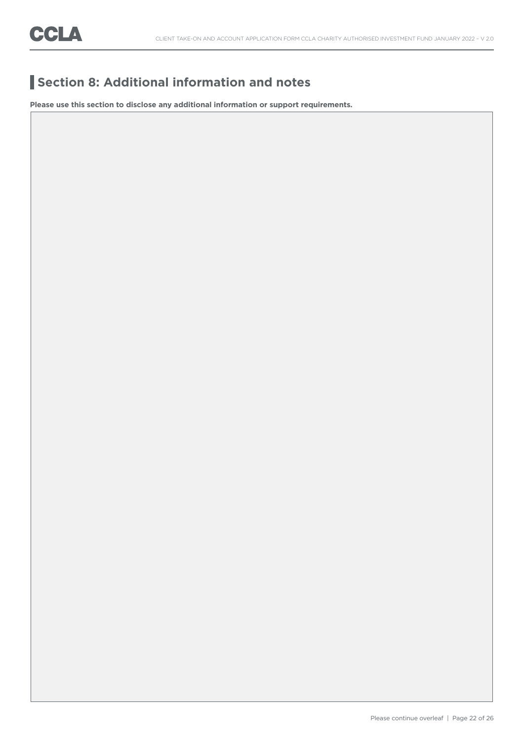### **Section 8: Additional information and notes**

**Please use this section to disclose any additional information or support requirements.**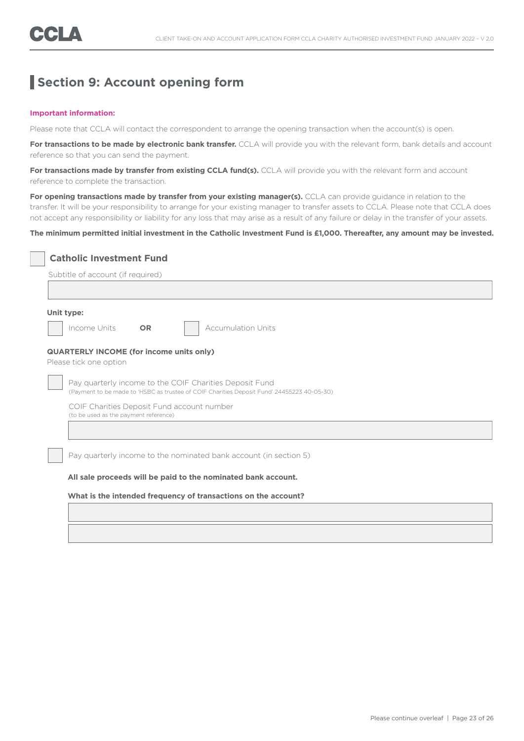### **Section 9: Account opening form**

#### **Important information:**

Please note that CCLA will contact the correspondent to arrange the opening transaction when the account(s) is open.

For transactions to be made by electronic bank transfer. CCLA will provide you with the relevant form, bank details and account reference so that you can send the payment.

For transactions made by transfer from existing CCLA fund(s). CCLA will provide you with the relevant form and account reference to complete the transaction.

For opening transactions made by transfer from your existing manager(s). CCLA can provide guidance in relation to the transfer. It will be your responsibility to arrange for your existing manager to transfer assets to CCLA. Please note that CCLA does not accept any responsibility or liability for any loss that may arise as a result of any failure or delay in the transfer of your assets.

### **The minimum permitted initial investment in the Catholic Investment Fund is £1,000. Thereafter, any amount may be invested.**

| Unit type: |                                                                                     |           |                                                                                                                                                       |  |  |  |
|------------|-------------------------------------------------------------------------------------|-----------|-------------------------------------------------------------------------------------------------------------------------------------------------------|--|--|--|
|            | Income Units                                                                        | <b>OR</b> | <b>Accumulation Units</b>                                                                                                                             |  |  |  |
|            | <b>QUARTERLY INCOME (for income units only)</b><br>Please tick one option           |           |                                                                                                                                                       |  |  |  |
|            |                                                                                     |           | Pay quarterly income to the COIF Charities Deposit Fund<br>(Payment to be made to 'HSBC as trustee of COIF Charities Deposit Fund' 24455223 40-05-30) |  |  |  |
|            | COIF Charities Deposit Fund account number<br>(to be used as the payment reference) |           |                                                                                                                                                       |  |  |  |
|            |                                                                                     |           |                                                                                                                                                       |  |  |  |
|            |                                                                                     |           | Pay quarterly income to the nominated bank account (in section 5)                                                                                     |  |  |  |
|            |                                                                                     |           |                                                                                                                                                       |  |  |  |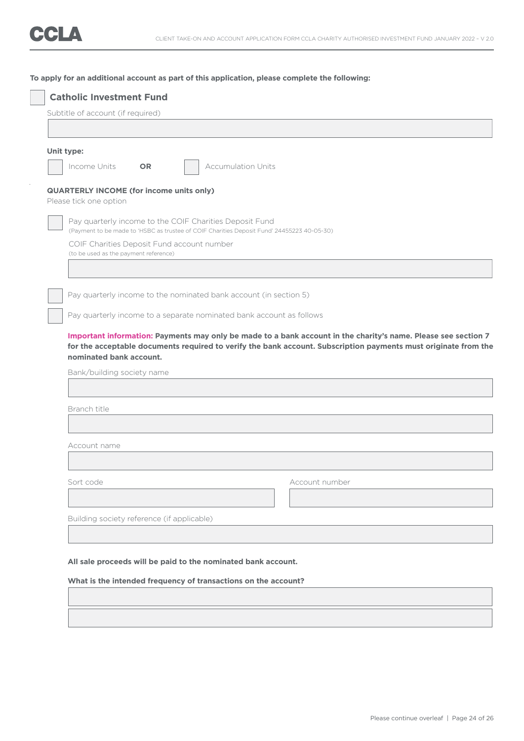### **To apply for an additional account as part of this application, please complete the following:**

| Unit type:                 |                                                                      |                                                                                                                                                       |                |                                                                                                                 |  |  |
|----------------------------|----------------------------------------------------------------------|-------------------------------------------------------------------------------------------------------------------------------------------------------|----------------|-----------------------------------------------------------------------------------------------------------------|--|--|
| Income Units               | <b>OR</b>                                                            | <b>Accumulation Units</b>                                                                                                                             |                |                                                                                                                 |  |  |
|                            | <b>QUARTERLY INCOME (for income units only)</b>                      |                                                                                                                                                       |                |                                                                                                                 |  |  |
| Please tick one option     |                                                                      |                                                                                                                                                       |                |                                                                                                                 |  |  |
|                            |                                                                      | Pay quarterly income to the COIF Charities Deposit Fund<br>(Payment to be made to 'HSBC as trustee of COIF Charities Deposit Fund' 24455223 40-05-30) |                |                                                                                                                 |  |  |
|                            | COIF Charities Deposit Fund account number                           |                                                                                                                                                       |                |                                                                                                                 |  |  |
|                            | (to be used as the payment reference)                                |                                                                                                                                                       |                |                                                                                                                 |  |  |
|                            |                                                                      |                                                                                                                                                       |                |                                                                                                                 |  |  |
|                            |                                                                      | Pay quarterly income to the nominated bank account (in section 5)                                                                                     |                |                                                                                                                 |  |  |
|                            | Pay quarterly income to a separate nominated bank account as follows |                                                                                                                                                       |                |                                                                                                                 |  |  |
|                            |                                                                      |                                                                                                                                                       |                | Important information: Payments may only be made to a bank account in the charity's name. Please see section 7  |  |  |
| nominated bank account.    |                                                                      |                                                                                                                                                       |                | for the acceptable documents required to verify the bank account. Subscription payments must originate from the |  |  |
| Bank/building society name |                                                                      |                                                                                                                                                       |                |                                                                                                                 |  |  |
|                            |                                                                      |                                                                                                                                                       |                |                                                                                                                 |  |  |
| Branch title               |                                                                      |                                                                                                                                                       |                |                                                                                                                 |  |  |
|                            |                                                                      |                                                                                                                                                       |                |                                                                                                                 |  |  |
| Account name               |                                                                      |                                                                                                                                                       |                |                                                                                                                 |  |  |
|                            |                                                                      |                                                                                                                                                       |                |                                                                                                                 |  |  |
| Sort code                  |                                                                      |                                                                                                                                                       | Account number |                                                                                                                 |  |  |
|                            |                                                                      |                                                                                                                                                       |                |                                                                                                                 |  |  |
|                            | Building society reference (if applicable)                           |                                                                                                                                                       |                |                                                                                                                 |  |  |
|                            |                                                                      |                                                                                                                                                       |                |                                                                                                                 |  |  |
|                            |                                                                      | All sale proceeds will be paid to the nominated bank account.                                                                                         |                |                                                                                                                 |  |  |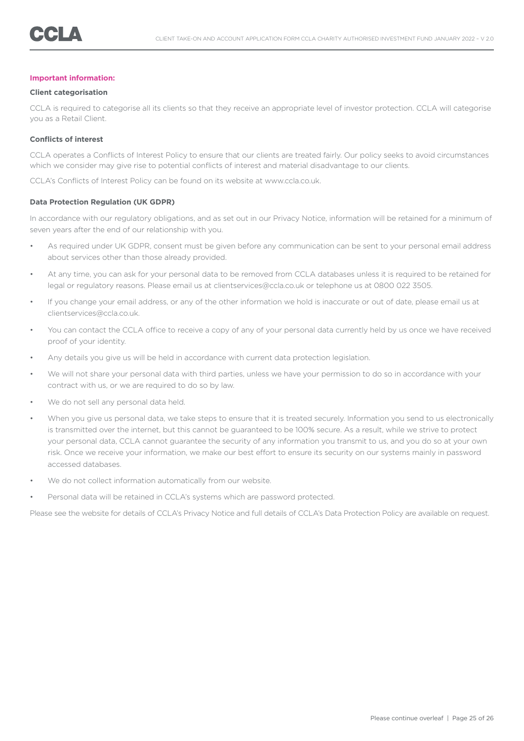#### **Important information:**

#### **Client categorisation**

CCLA is required to categorise all its clients so that they receive an appropriate level of investor protection. CCLA will categorise you as a Retail Client.

### **Conflicts of interest**

CCLA operates a Conflicts of Interest Policy to ensure that our clients are treated fairly. Our policy seeks to avoid circumstances which we consider may give rise to potential conflicts of interest and material disadvantage to our clients.

CCLA's Conflicts of Interest Policy can be found on its website at www.ccla.co.uk.

#### **Data Protection Regulation (UK GDPR)**

In accordance with our regulatory obligations, and as set out in our Privacy Notice, information will be retained for a minimum of seven years after the end of our relationship with you.

- As required under UK GDPR, consent must be given before any communication can be sent to your personal email address about services other than those already provided.
- At any time, you can ask for your personal data to be removed from CCLA databases unless it is required to be retained for legal or regulatory reasons. Please email us at clientservices@ccla.co.uk or telephone us at 0800 022 3505.
- If you change your email address, or any of the other information we hold is inaccurate or out of date, please email us at clientservices@ccla.co.uk.
- You can contact the CCLA office to receive a copy of any of your personal data currently held by us once we have received proof of your identity.
- Any details you give us will be held in accordance with current data protection legislation.
- We will not share your personal data with third parties, unless we have your permission to do so in accordance with your contract with us, or we are required to do so by law.
- We do not sell any personal data held.
- When you give us personal data, we take steps to ensure that it is treated securely. Information you send to us electronically is transmitted over the internet, but this cannot be guaranteed to be 100% secure. As a result, while we strive to protect your personal data, CCLA cannot guarantee the security of any information you transmit to us, and you do so at your own risk. Once we receive your information, we make our best effort to ensure its security on our systems mainly in password accessed databases.
- We do not collect information automatically from our website.
- Personal data will be retained in CCLA's systems which are password protected.

Please see the website for details of CCLA's Privacy Notice and full details of CCLA's Data Protection Policy are available on request.